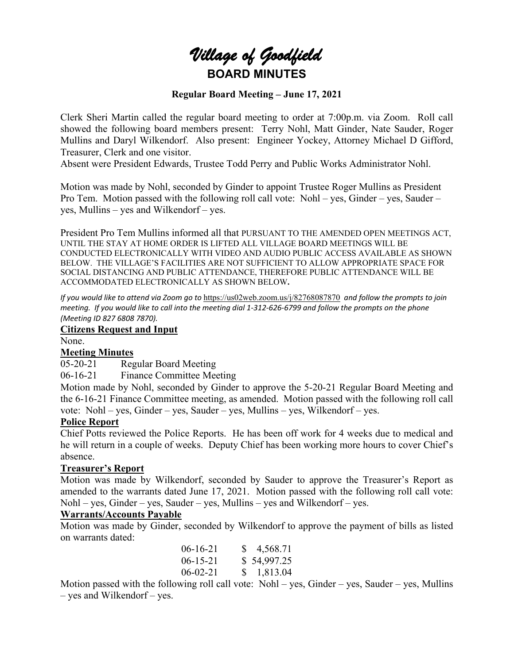# *Village of Goodfield* **BOARD MINUTES**

#### **Regular Board Meeting – June 17, 2021**

Clerk Sheri Martin called the regular board meeting to order at 7:00p.m. via Zoom. Roll call showed the following board members present: Terry Nohl, Matt Ginder, Nate Sauder, Roger Mullins and Daryl Wilkendorf. Also present: Engineer Yockey, Attorney Michael D Gifford, Treasurer, Clerk and one visitor.

Absent were President Edwards, Trustee Todd Perry and Public Works Administrator Nohl.

Motion was made by Nohl, seconded by Ginder to appoint Trustee Roger Mullins as President Pro Tem. Motion passed with the following roll call vote: Nohl – yes, Ginder – yes, Sauder – yes, Mullins – yes and Wilkendorf – yes.

President Pro Tem Mullins informed all that PURSUANT TO THE AMENDED OPEN MEETINGS ACT, UNTIL THE STAY AT HOME ORDER IS LIFTED ALL VILLAGE BOARD MEETINGS WILL BE CONDUCTED ELECTRONICALLY WITH VIDEO AND AUDIO PUBLIC ACCESS AVAILABLE AS SHOWN BELOW. THE VILLAGE'S FACILITIES ARE NOT SUFFICIENT TO ALLOW APPROPRIATE SPACE FOR SOCIAL DISTANCING AND PUBLIC ATTENDANCE, THEREFORE PUBLIC ATTENDANCE WILL BE ACCOMMODATED ELECTRONICALLY AS SHOWN BELOW**.**

*If you would like to attend via Zoom go to* <https://us02web.zoom.us/j/82768087870> *and follow the prompts to join meeting. If you would like to call into the meeting dial 1-312-626-6799 and follow the prompts on the phone (Meeting ID 827 6808 7870).*

#### **Citizens Request and Input**

None.

#### **Meeting Minutes**

05-20-21 Regular Board Meeting

06-16-21 Finance Committee Meeting

Motion made by Nohl, seconded by Ginder to approve the 5-20-21 Regular Board Meeting and the 6-16-21 Finance Committee meeting, as amended. Motion passed with the following roll call vote: Nohl – yes, Ginder – yes, Sauder – yes, Mullins – yes, Wilkendorf – yes.

#### **Police Report**

Chief Potts reviewed the Police Reports. He has been off work for 4 weeks due to medical and he will return in a couple of weeks. Deputy Chief has been working more hours to cover Chief's absence.

#### **Treasurer's Report**

Motion was made by Wilkendorf, seconded by Sauder to approve the Treasurer's Report as amended to the warrants dated June 17, 2021. Motion passed with the following roll call vote: Nohl – yes, Ginder – yes, Sauder – yes, Mullins – yes and Wilkendorf – yes.

#### **Warrants/Accounts Payable**

Motion was made by Ginder, seconded by Wilkendorf to approve the payment of bills as listed on warrants dated:

| $06-16-21$     | \$4,568.71  |
|----------------|-------------|
| $06 - 15 - 21$ | \$54,997.25 |
| $06-02-21$     | \$1,813.04  |

Motion passed with the following roll call vote: Nohl – yes, Ginder – yes, Sauder – yes, Mullins – yes and Wilkendorf – yes.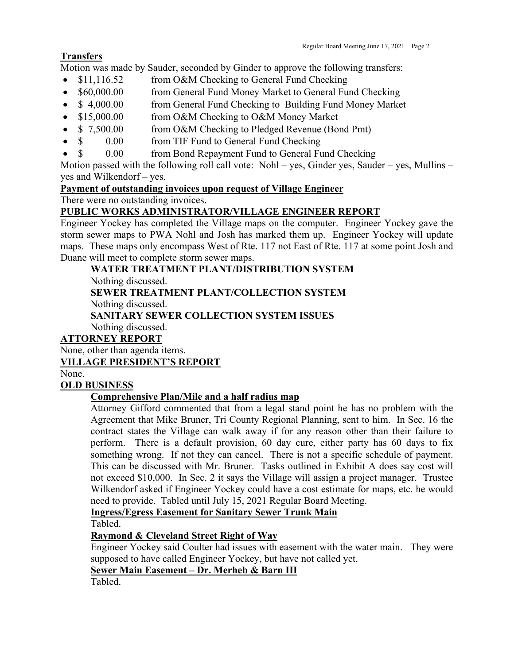### **Transfers**

Motion was made by Sauder, seconded by Ginder to approve the following transfers:

- \$11,116.52 from O&M Checking to General Fund Checking
- \$60,000.00 from General Fund Money Market to General Fund Checking
- \$4,000.00 from General Fund Checking to Building Fund Money Market
- \$15,000.00 from O&M Checking to O&M Money Market
- \$ 7,500.00 from O&M Checking to Pledged Revenue (Bond Pmt)
- \$ 0.00 from TIF Fund to General Fund Checking
- \$ 0.00 from Bond Repayment Fund to General Fund Checking

Motion passed with the following roll call vote: Nohl – yes, Ginder yes, Sauder – yes, Mullins – yes and Wilkendorf – yes.

### **Payment of outstanding invoices upon request of Village Engineer**

There were no outstanding invoices.

### **PUBLIC WORKS ADMINISTRATOR/VILLAGE ENGINEER REPORT**

Engineer Yockey has completed the Village maps on the computer. Engineer Yockey gave the storm sewer maps to PWA Nohl and Josh has marked them up. Engineer Yockey will update maps. These maps only encompass West of Rte. 117 not East of Rte. 117 at some point Josh and Duane will meet to complete storm sewer maps.

## **WATER TREATMENT PLANT/DISTRIBUTION SYSTEM**

Nothing discussed.

**SEWER TREATMENT PLANT/COLLECTION SYSTEM**

Nothing discussed.

**SANITARY SEWER COLLECTION SYSTEM ISSUES**

Nothing discussed.

### **ATTORNEY REPORT**

None, other than agenda items.

### **VILLAGE PRESIDENT'S REPORT**

None.

### **OLD BUSINESS**

### **Comprehensive Plan/Mile and a half radius map**

Attorney Gifford commented that from a legal stand point he has no problem with the Agreement that Mike Bruner, Tri County Regional Planning, sent to him. In Sec. 16 the contract states the Village can walk away if for any reason other than their failure to perform. There is a default provision, 60 day cure, either party has 60 days to fix something wrong. If not they can cancel. There is not a specific schedule of payment. This can be discussed with Mr. Bruner. Tasks outlined in Exhibit A does say cost will not exceed \$10,000. In Sec. 2 it says the Village will assign a project manager. Trustee Wilkendorf asked if Engineer Yockey could have a cost estimate for maps, etc. he would need to provide. Tabled until July 15, 2021 Regular Board Meeting.

**Ingress/Egress Easement for Sanitary Sewer Trunk Main**

Tabled.

### **Raymond & Cleveland Street Right of Way**

Engineer Yockey said Coulter had issues with easement with the water main. They were supposed to have called Engineer Yockey, but have not called yet.

**Sewer Main Easement – Dr. Merheb & Barn III**

Tabled.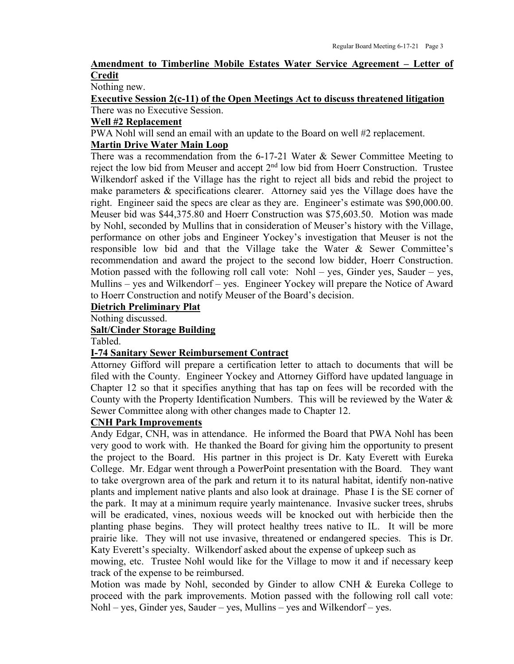#### **Amendment to Timberline Mobile Estates Water Service Agreement – Letter of Credit**

Nothing new.

**Executive Session 2(c-11) of the Open Meetings Act to discuss threatened litigation** There was no Executive Session.

#### **Well #2 Replacement**

PWA Nohl will send an email with an update to the Board on well #2 replacement.

#### **Martin Drive Water Main Loop**

There was a recommendation from the 6-17-21 Water & Sewer Committee Meeting to reject the low bid from Meuser and accept  $2<sup>nd</sup>$  low bid from Hoerr Construction. Trustee Wilkendorf asked if the Village has the right to reject all bids and rebid the project to make parameters & specifications clearer. Attorney said yes the Village does have the right. Engineer said the specs are clear as they are. Engineer's estimate was \$90,000.00. Meuser bid was \$44,375.80 and Hoerr Construction was \$75,603.50. Motion was made by Nohl, seconded by Mullins that in consideration of Meuser's history with the Village, performance on other jobs and Engineer Yockey's investigation that Meuser is not the responsible low bid and that the Village take the Water & Sewer Committee's recommendation and award the project to the second low bidder, Hoerr Construction. Motion passed with the following roll call vote: Nohl – yes, Ginder yes, Sauder – yes, Mullins – yes and Wilkendorf – yes. Engineer Yockey will prepare the Notice of Award to Hoerr Construction and notify Meuser of the Board's decision.

#### **Dietrich Preliminary Plat**

Nothing discussed.

#### **Salt/Cinder Storage Building**

Tabled.

#### **I-74 Sanitary Sewer Reimbursement Contract**

Attorney Gifford will prepare a certification letter to attach to documents that will be filed with the County. Engineer Yockey and Attorney Gifford have updated language in Chapter 12 so that it specifies anything that has tap on fees will be recorded with the County with the Property Identification Numbers. This will be reviewed by the Water & Sewer Committee along with other changes made to Chapter 12.

#### **CNH Park Improvements**

Andy Edgar, CNH, was in attendance. He informed the Board that PWA Nohl has been very good to work with. He thanked the Board for giving him the opportunity to present the project to the Board. His partner in this project is Dr. Katy Everett with Eureka College. Mr. Edgar went through a PowerPoint presentation with the Board. They want to take overgrown area of the park and return it to its natural habitat, identify non-native plants and implement native plants and also look at drainage. Phase I is the SE corner of the park. It may at a minimum require yearly maintenance. Invasive sucker trees, shrubs will be eradicated, vines, noxious weeds will be knocked out with herbicide then the planting phase begins. They will protect healthy trees native to IL. It will be more prairie like. They will not use invasive, threatened or endangered species. This is Dr. Katy Everett's specialty. Wilkendorf asked about the expense of upkeep such as

mowing, etc. Trustee Nohl would like for the Village to mow it and if necessary keep track of the expense to be reimbursed.

Motion was made by Nohl, seconded by Ginder to allow CNH  $\&$  Eureka College to proceed with the park improvements. Motion passed with the following roll call vote: Nohl – yes, Ginder yes, Sauder – yes, Mullins – yes and Wilkendorf – yes.